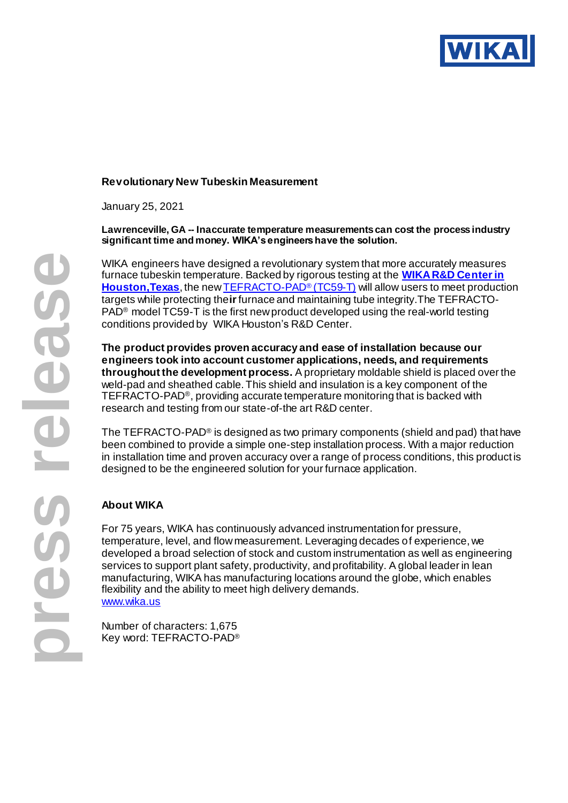

## **Revolutionary New Tubeskin Measurement**

January 25, 2021

**Lawrenceville, GA -- Inaccurate temperature measurements can cost the process industry significant time and money. WIKA's engineers have the solution.**

WIKA engineers have designed a revolutionary system that more accurately measures furnace tubeskin temperature. Backed by rigorous testing at the **[WIKA R&D Center in](https://blog.wika.us/products/temperature-products/wika-testing-center-replicates-process-conditions/)  [Houston,Texas](https://blog.wika.us/products/temperature-products/wika-testing-center-replicates-process-conditions/)**, the ne[w TEFRACTO-PAD](https://www.wika.com/en-en/tc59_t.WIKA)® (TC59-T) will allow users to meet production targets while protecting the**ir**furnace and maintaining tube integrity.The TEFRACTO-PAD® model TC59-T is the first new product developed using the real-world testing conditions provided by WIKA Houston's R&D Center.

**The product provides proven accuracy and ease of installation because our engineers took into account customer applications, needs, and requirements throughout the development process.** A proprietary moldable shield is placed over the weld-pad and sheathed cable. This shield and insulation is a key component of the TEFRACTO-PAD®, providing accurate temperature monitoring that is backed with research and testing from our state-of-the art R&D center.

The TEFRACTO-PAD® is designed as two primary components (shield and pad) that have been combined to provide a simple one-step installation process. With a major reduction in installation time and proven accuracy over a range of process conditions, this product is designed to be the engineered solution for your furnace application.

## **About WIKA**

For 75 years, WIKA has continuously advanced instrumentation for pressure, temperature, level, and flow measurement. Leveraging decades of experience, we developed a broad selection of stock and custom instrumentation as well as engineering services to support plant safety, productivity, and profitability. A global leader in lean manufacturing, WIKA has manufacturing locations around the globe, which enables flexibility and the ability to meet high delivery demands. [www.wika.us](https://www.wika.us/s_20_en_us.WIKA)

Number of characters: 1,675 Key word: TEFRACTO-PAD®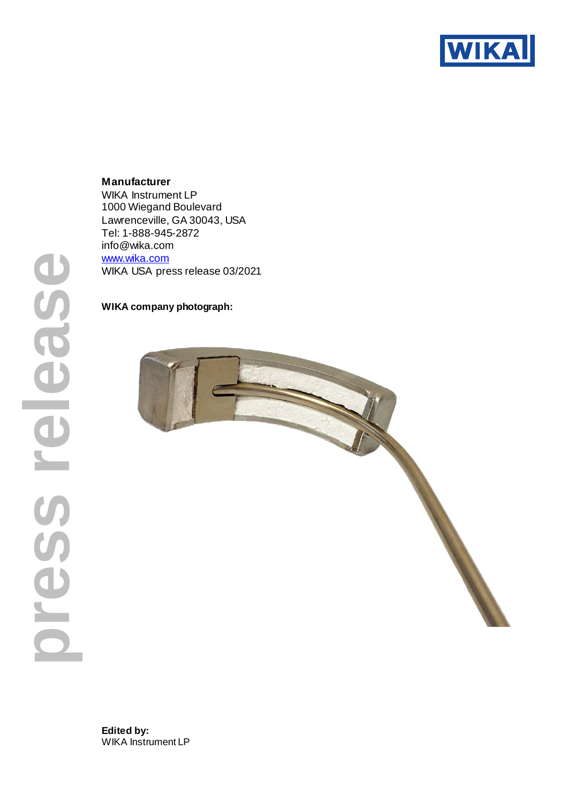

**Manufacturer** WIKA Instrument LP 1000 Wiegand Boulevard Lawrenceville, GA 30043, USA Tel: 1-888-945-2872 info@wika.com [www.wika.com](http://www.wika.com/) WIKA USA press release 03/2021

## **WIKA company photograph:**



**Edited by:** WIKA Instrument LP